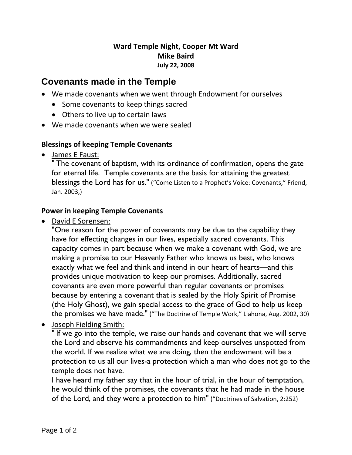## **Ward Temple Night, Cooper Mt Ward Mike Baird July 22, 2008**

# **Covenants made in the Temple**

- We made covenants when we went through Endowment for ourselves
	- Some covenants to keep things sacred
	- Others to live up to certain laws
- We made covenants when we were sealed

### **Blessings of keeping Temple Covenants**

• James E Faust:

" The covenant of baptism, with its ordinance of confirmation, opens the gate for eternal life. Temple covenants are the basis for attaining the greatest blessings the Lord has for us." ("Come Listen to a Prophet's Voice: Covenants," Friend, Jan. 2003,)

### **Power in keeping Temple Covenants**

• David E Sorensen:

"One reason for the power of covenants may be due to the capability they have for effecting changes in our lives, especially sacred covenants. This capacity comes in part because when we make a covenant with God, we are making a promise to our Heavenly Father who knows us best, who knows exactly what we feel and think and intend in our heart of hearts—and this provides unique motivation to keep our promises. Additionally, sacred covenants are even more powerful than regular covenants or promises because by entering a covenant that is sealed by the Holy Spirit of Promise (the Holy Ghost), we gain special access to the grace of God to help us keep the promises we have made." ("The Doctrine of Temple Work," Liahona, Aug. 2002, 30)

• Joseph Fielding Smith:

" If we go into the temple, we raise our hands and covenant that we will serve the Lord and observe his commandments and keep ourselves unspotted from the world. If we realize what we are doing, then the endowment will be a protection to us all our lives-a protection which a man who does not go to the temple does not have.

I have heard my father say that in the hour of trial, in the hour of temptation, he would think of the promises, the covenants that he had made in the house of the Lord, and they were a protection to him" ("Doctrines of Salvation, 2:252)